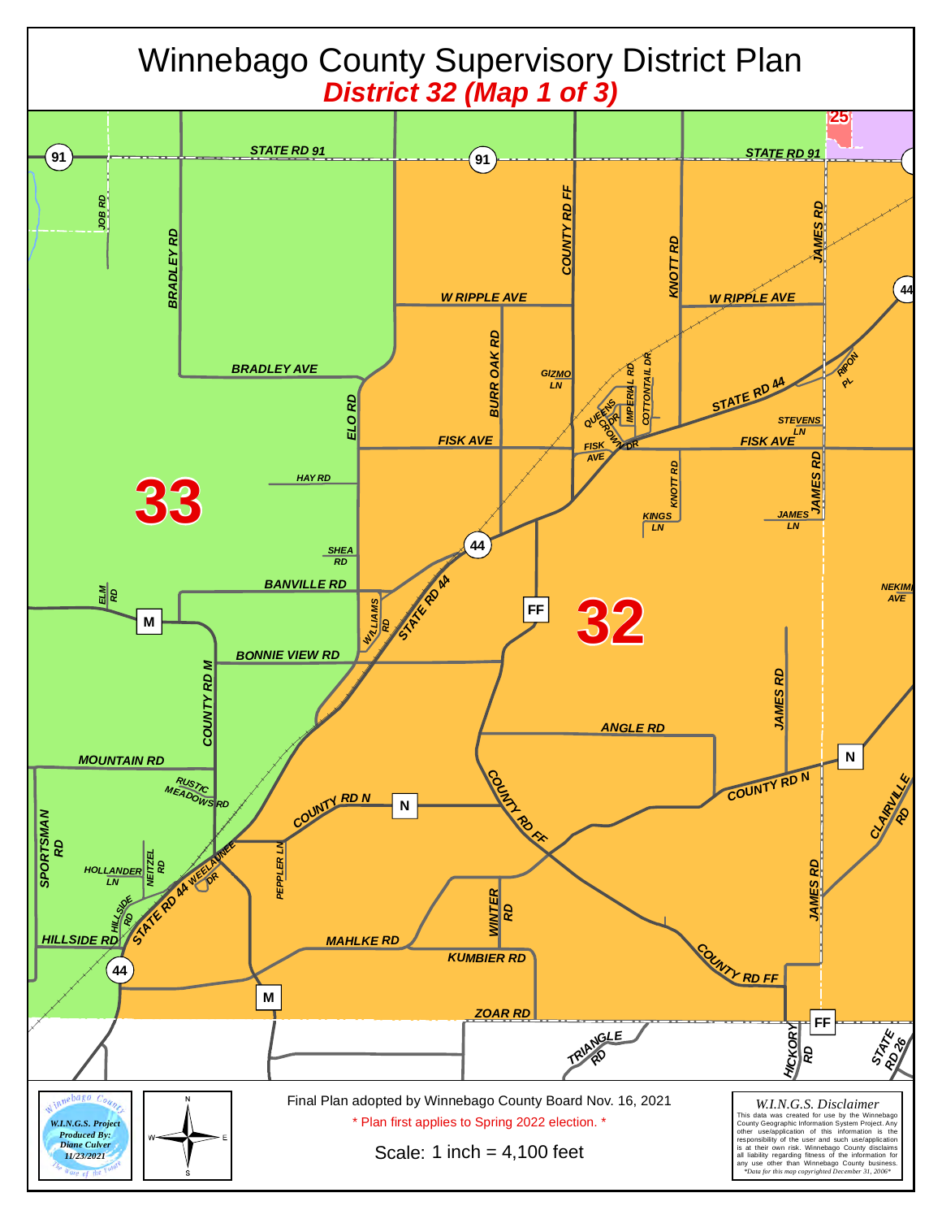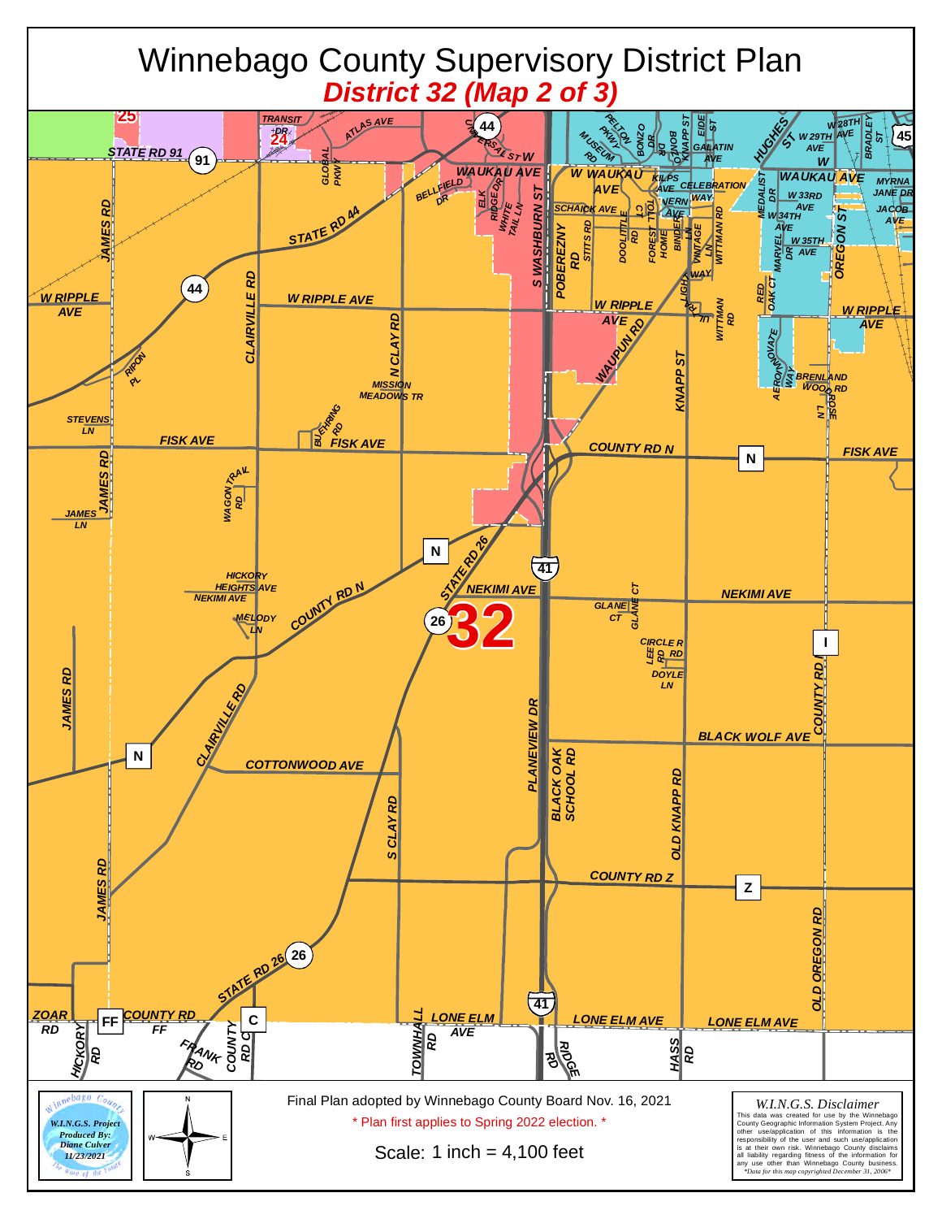